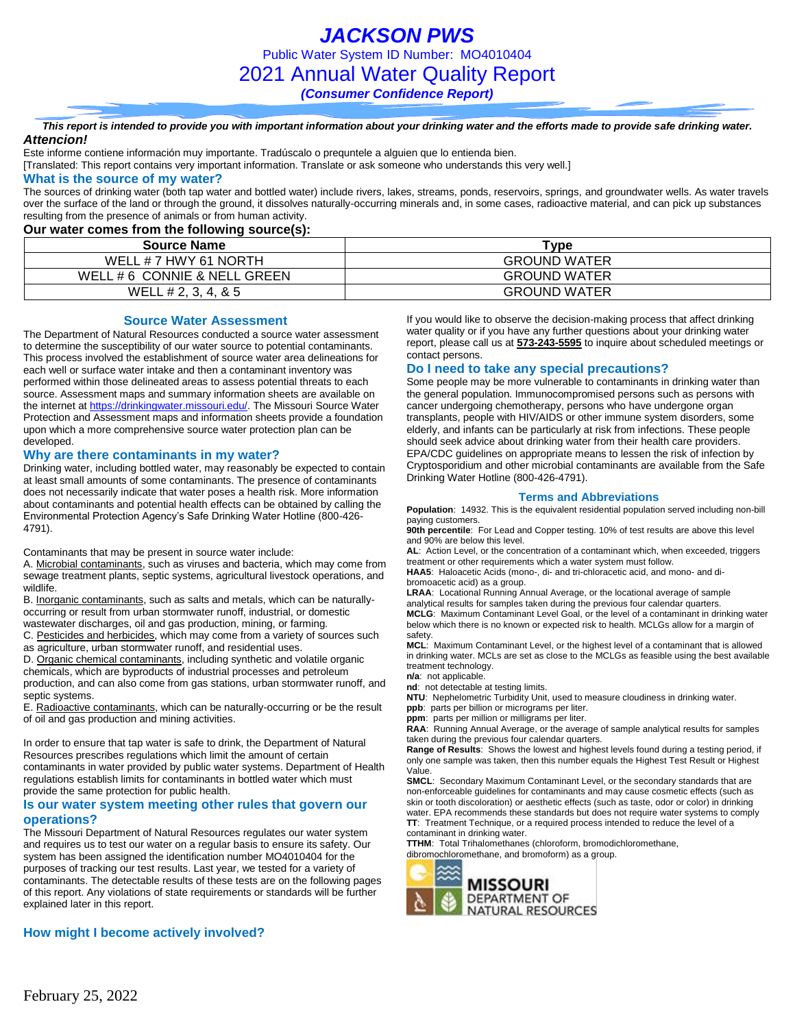*JACKSON PWS* Public Water System ID Number: MO4010404 2021 Annual Water Quality Report *(Consumer Confidence Report)*

*This report is intended to provide you with important information about your drinking water and the efforts made to provide safe drinking water. Attencion!*

Este informe contiene información muy importante. Tradúscalo o prequntele a alguien que lo entienda bien.

[Translated: This report contains very important information. Translate or ask someone who understands this very well.]

### **What is the source of my water?**

The sources of drinking water (both tap water and bottled water) include rivers, lakes, streams, ponds, reservoirs, springs, and groundwater wells. As water travels over the surface of the land or through the ground, it dissolves naturally-occurring minerals and, in some cases, radioactive material, and can pick up substances resulting from the presence of animals or from human activity.

### **Our water comes from the following source(s):**

| <b>Source Name</b>           | туре                |
|------------------------------|---------------------|
| WELL # 7 HWY 61 NORTH        | <b>GROUND WATER</b> |
| WELL # 6 CONNIE & NELL GREEN | <b>GROUND WATER</b> |
| WELL # 2, 3, 4, & 5          | <b>GROUND WATER</b> |

**Source Water Assessment**

The Department of Natural Resources conducted a source water assessment to determine the susceptibility of our water source to potential contaminants. This process involved the establishment of source water area delineations for each well or surface water intake and then a contaminant inventory was performed within those delineated areas to assess potential threats to each source. Assessment maps and summary information sheets are available on the internet a[t https://drinkingwater.missouri.edu/.](https://drinkingwater.missouri.edu/) The Missouri Source Water Protection and Assessment maps and information sheets provide a foundation upon which a more comprehensive source water protection plan can be developed.

### **Why are there contaminants in my water?**

Drinking water, including bottled water, may reasonably be expected to contain at least small amounts of some contaminants. The presence of contaminants does not necessarily indicate that water poses a health risk. More information about contaminants and potential health effects can be obtained by calling the Environmental Protection Agency's Safe Drinking Water Hotline (800-426- 4791).

Contaminants that may be present in source water include:

A. Microbial contaminants, such as viruses and bacteria, which may come from sewage treatment plants, septic systems, agricultural livestock operations, and wildlife.

B. Inorganic contaminants, such as salts and metals, which can be naturallyoccurring or result from urban stormwater runoff, industrial, or domestic wastewater discharges, oil and gas production, mining, or farming.

C. Pesticides and herbicides, which may come from a variety of sources such

as agriculture, urban stormwater runoff, and residential uses.

D. Organic chemical contaminants, including synthetic and volatile organic chemicals, which are byproducts of industrial processes and petroleum production, and can also come from gas stations, urban stormwater runoff, and septic systems.

E. Radioactive contaminants, which can be naturally-occurring or be the result of oil and gas production and mining activities.

In order to ensure that tap water is safe to drink, the Department of Natural Resources prescribes regulations which limit the amount of certain contaminants in water provided by public water systems. Department of Health regulations establish limits for contaminants in bottled water which must provide the same protection for public health.

### **Is our water system meeting other rules that govern our operations?**

The Missouri Department of Natural Resources regulates our water system and requires us to test our water on a regular basis to ensure its safety. Our system has been assigned the identification number MO4010404 for the purposes of tracking our test results. Last year, we tested for a variety of contaminants. The detectable results of these tests are on the following pages of this report. Any violations of state requirements or standards will be further explained later in this report.

### **How might I become actively involved?**

If you would like to observe the decision-making process that affect drinking water quality or if you have any further questions about your drinking water report, please call us at **573-243-5595** to inquire about scheduled meetings or contact persons.

### **Do I need to take any special precautions?**

Some people may be more vulnerable to contaminants in drinking water than the general population. Immunocompromised persons such as persons with cancer undergoing chemotherapy, persons who have undergone organ transplants, people with HIV/AIDS or other immune system disorders, some elderly, and infants can be particularly at risk from infections. These people should seek advice about drinking water from their health care providers. EPA/CDC guidelines on appropriate means to lessen the risk of infection by Cryptosporidium and other microbial contaminants are available from the Safe Drinking Water Hotline (800-426-4791).

#### **Terms and Abbreviations**

**Population**: 14932. This is the equivalent residential population served including non-bill paying customers.

**90th percentile**: For Lead and Copper testing. 10% of test results are above this level and 90% are below this level.

**AL**: Action Level, or the concentration of a contaminant which, when exceeded, triggers treatment or other requirements which a water system must follow.

**HAA5**: Haloacetic Acids (mono-, di- and tri-chloracetic acid, and mono- and dibromoacetic acid) as a group.

**LRAA**: Locational Running Annual Average, or the locational average of sample analytical results for samples taken during the previous four calendar quarters.

**MCLG**: Maximum Contaminant Level Goal, or the level of a contaminant in drinking water below which there is no known or expected risk to health. MCLGs allow for a margin of safety.

**MCL**: Maximum Contaminant Level, or the highest level of a contaminant that is allowed in drinking water. MCLs are set as close to the MCLGs as feasible using the best available treatment technology.

**n/a**: not applicable.

**nd**: not detectable at testing limits.

**NTU**: Nephelometric Turbidity Unit, used to measure cloudiness in drinking water. **ppb**: parts per billion or micrograms per liter.

**ppm**: parts per million or milligrams per liter.

**RAA**: Running Annual Average, or the average of sample analytical results for samples taken during the previous four calendar quarters.

**Range of Results**: Shows the lowest and highest levels found during a testing period, if only one sample was taken, then this number equals the Highest Test Result or Highest Value.

**SMCL**: Secondary Maximum Contaminant Level, or the secondary standards that are non-enforceable guidelines for contaminants and may cause cosmetic effects (such as skin or tooth discoloration) or aesthetic effects (such as taste, odor or color) in drinking water. EPA recommends these standards but does not require water systems to comply **TT**: Treatment Technique, or a required process intended to reduce the level of a contaminant in drinking water.

**TTHM**: Total Trihalomethanes (chloroform, bromodichloromethane, dibromochloromethane, and bromoform) as a group.



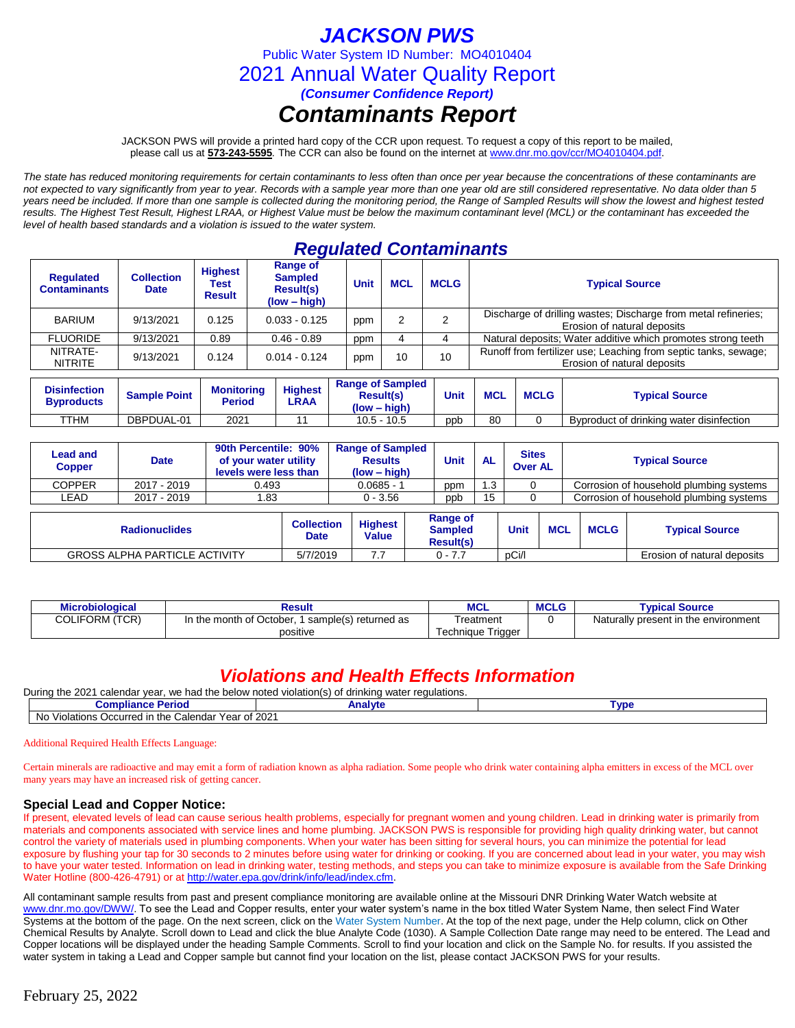# *JACKSON PWS*

Public Water System ID Number: MO4010404

2021 Annual Water Quality Report

*(Consumer Confidence Report)*

# *Contaminants Report*

JACKSON PWS will provide a printed hard copy of the CCR upon request. To request a copy of this report to be mailed, please call us at **573-243-5595***.* The CCR can also be found on the internet at www.dnr.mo.gov/ccr/MO4010404.pdf.

*The state has reduced monitoring requirements for certain contaminants to less often than once per year because the concentrations of these contaminants are not expected to vary significantly from year to year. Records with a sample year more than one year old are still considered representative. No data older than 5 years need be included. If more than one sample is collected during the monitoring period, the Range of Sampled Results will show the lowest and highest tested results. The Highest Test Result, Highest LRAA, or Highest Value must be below the maximum contaminant level (MCL) or the contaminant has exceeded the level of health based standards and a violation is issued to the water system.* 

### *Regulated Contaminants*

| <b>Regulated</b><br><b>Contaminants</b> | <b>Collection</b><br><b>Date</b> | <b>Highest</b><br>Test<br><b>Result</b> | <b>Range of</b><br><b>Sampled</b><br>Result(s)<br>$(low - high)$ | <b>Unit</b> | <b>MCL</b> | <b>MCLG</b> | <b>Typical Source</b>                                                                          |
|-----------------------------------------|----------------------------------|-----------------------------------------|------------------------------------------------------------------|-------------|------------|-------------|------------------------------------------------------------------------------------------------|
| BARIUM                                  | 9/13/2021                        | 0.125                                   | $0.033 - 0.125$                                                  | ppm         | っ          |             | Discharge of drilling wastes; Discharge from metal refineries;<br>Erosion of natural deposits  |
| <b>FLUORIDE</b>                         | 9/13/2021                        | 0.89                                    | $0.46 - 0.89$                                                    | ppm         |            |             | Natural deposits; Water additive which promotes strong teeth                                   |
| NITRATE-<br><b>NITRITE</b>              | 9/13/2021                        | 0.124                                   | $0.014 - 0.124$                                                  | ppm         | 10         | 10          | Runoff from fertilizer use; Leaching from septic tanks, sewage;<br>Erosion of natural deposits |

| <b>Disinfection</b><br><b>Byproducts</b> | <b>Sample Point</b> | <b>Monitoring</b><br>Period | Hiahest<br>LRAA | <b>Range of Sampled</b><br><b>Result(s)</b><br>$(low - high)$ | Unit | MCL | <b>MCLG</b> | <b>Typical Source</b>                    |
|------------------------------------------|---------------------|-----------------------------|-----------------|---------------------------------------------------------------|------|-----|-------------|------------------------------------------|
| TTHM                                     | DBPDUAL-01          | 2021                        |                 | $10.5 - 10.5$                                                 | ppb  | 80  |             | Byproduct of drinking water disinfection |

| <b>Lead and</b><br><b>Copper</b>     | <b>Date</b> | 90th Percentile: 90%<br>of your water utility<br>levels were less than |                                | <b>Range of Sampled</b><br><b>Results</b><br>$(low - high)$ | Unit      | <b>AL</b>      |            | <b>Sites</b><br><b>Over AL</b>          |                                         | <b>Typical Source</b>       |  |  |
|--------------------------------------|-------------|------------------------------------------------------------------------|--------------------------------|-------------------------------------------------------------|-----------|----------------|------------|-----------------------------------------|-----------------------------------------|-----------------------------|--|--|
| <b>COPPER</b>                        | 2017 - 2019 | 0.493                                                                  |                                | $0.0685 - 1$                                                | ppm       | $\overline{3}$ | 0          |                                         | Corrosion of household plumbing systems |                             |  |  |
| LEAD                                 | 2017 - 2019 | ∣.83                                                                   |                                | $0 - 3.56$                                                  | ppb       | 15             |            | Corrosion of household plumbing systems |                                         |                             |  |  |
| <b>Radionuclides</b>                 |             | <b>Collection</b><br><b>Date</b>                                       | <b>Highest</b><br><b>Value</b> | <b>Range of</b><br><b>Sampled</b><br><b>Result(s)</b>       |           | <b>Unit</b>    | <b>MCL</b> | <b>MCLG</b>                             | <b>Typical Source</b>                   |                             |  |  |
| <b>GROSS ALPHA PARTICLE ACTIVITY</b> |             |                                                                        | 5/7/2019                       | 7.7                                                         | $0 - 7.7$ |                | pCi/l      |                                         |                                         | Erosion of natural deposits |  |  |

| <b>Microbiological</b> | ಗesult                                            | <b>MCL</b>                         | <b>MCLG</b> | <b>Tvpical Source</b>                |
|------------------------|---------------------------------------------------|------------------------------------|-------------|--------------------------------------|
| (TCR)<br>COLIFORM      | In the month of October.<br>sample(s) returned as | ⊺reatment                          |             | Naturally present in the environment |
|                        | positive                                          | Trigger<br><i><b>Fechnique</b></i> |             |                                      |

## *Violations and Health Effects Information*

During the 2021 calendar year, we had the below noted violation(s) of drinking water regulations.

| Compliai<br>মnc⊾<br>שטו וש                                                      | ⊿nalyte       | l vpe |
|---------------------------------------------------------------------------------|---------------|-------|
| . Calendar<br>- No<br>Voor<br>.<br>Occurred in the f<br>Violations<br>Ψa<br>ັບເ | 2021<br>_____ |       |

Additional Required Health Effects Language:

Certain minerals are radioactive and may emit a form of radiation known as alpha radiation. Some people who drink water containing alpha emitters in excess of the MCL over many years may have an increased risk of getting cancer.

### **Special Lead and Copper Notice:**

If present, elevated levels of lead can cause serious health problems, especially for pregnant women and young children. Lead in drinking water is primarily from materials and components associated with service lines and home plumbing. JACKSON PWS is responsible for providing high quality drinking water, but cannot control the variety of materials used in plumbing components. When your water has been sitting for several hours, you can minimize the potential for lead exposure by flushing your tap for 30 seconds to 2 minutes before using water for drinking or cooking. If you are concerned about lead in your water, you may wish to have your water tested. Information on lead in drinking water, testing methods, and steps you can take to minimize exposure is available from the Safe Drinking Water Hotline (800-426-4791) or at [http://water.epa.gov/drink/info/lead/index.cfm.](http://water.epa.gov/drink/info/lead/index.cfm)

All contaminant sample results from past and present compliance monitoring are available online at the Missouri DNR Drinking Water Watch website at [www.dnr.mo.gov/DWW/.](http://www.dnr.mo.gov/DWW/) To see the Lead and Copper results, enter your water system's name in the box titled Water System Name, then select Find Water Systems at the bottom of the page. On the next screen, click on the Water System Number. At the top of the next page, under the Help column, click on Other Chemical Results by Analyte. Scroll down to Lead and click the blue Analyte Code (1030). A Sample Collection Date range may need to be entered. The Lead and Copper locations will be displayed under the heading Sample Comments. Scroll to find your location and click on the Sample No. for results. If you assisted the water system in taking a Lead and Copper sample but cannot find your location on the list, please contact JACKSON PWS for your results.